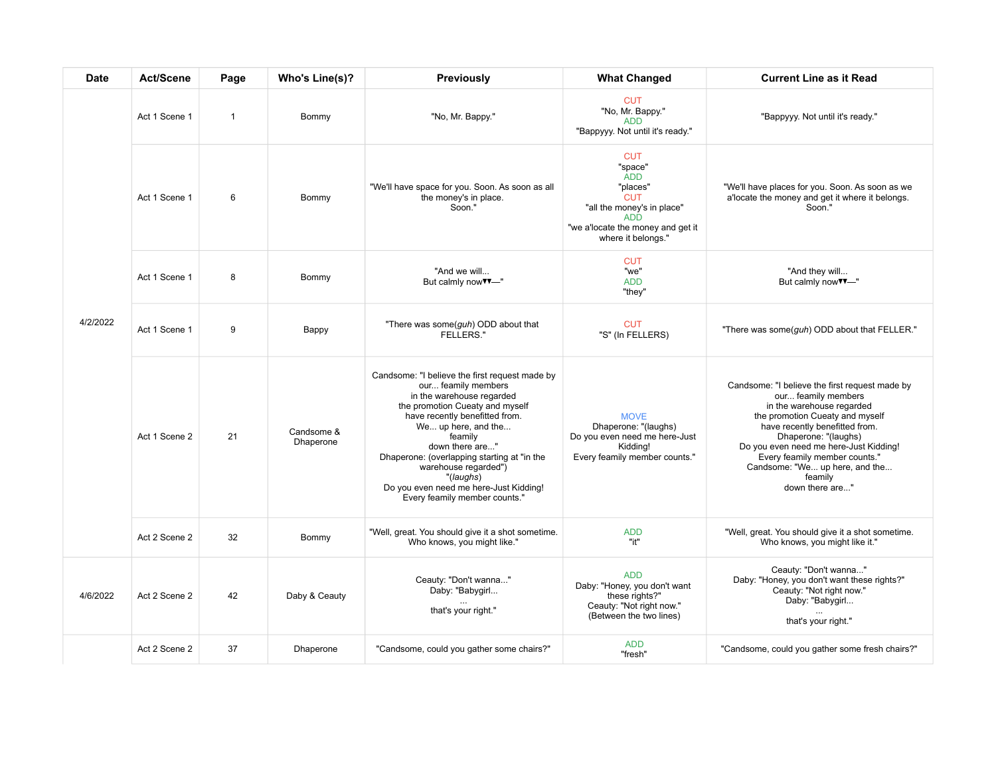| <b>Date</b> | Act/Scene     | Page           | Who's Line(s)?          | <b>Previously</b>                                                                                                                                                                                                                                                                                                                                                                           | <b>What Changed</b>                                                                                                                                                  | <b>Current Line as it Read</b>                                                                                                                                                                                                                                                                                                             |
|-------------|---------------|----------------|-------------------------|---------------------------------------------------------------------------------------------------------------------------------------------------------------------------------------------------------------------------------------------------------------------------------------------------------------------------------------------------------------------------------------------|----------------------------------------------------------------------------------------------------------------------------------------------------------------------|--------------------------------------------------------------------------------------------------------------------------------------------------------------------------------------------------------------------------------------------------------------------------------------------------------------------------------------------|
| 4/2/2022    | Act 1 Scene 1 | $\overline{1}$ | Bommy                   | "No, Mr. Bappy."                                                                                                                                                                                                                                                                                                                                                                            | <b>CUT</b><br>"No, Mr. Bappy."<br><b>ADD</b><br>"Bappyyy. Not until it's ready."                                                                                     | "Bappyyy. Not until it's ready."                                                                                                                                                                                                                                                                                                           |
|             | Act 1 Scene 1 | 6              | Bommy                   | "We'll have space for you. Soon. As soon as all<br>the money's in place.<br>Soon."                                                                                                                                                                                                                                                                                                          | <b>CUT</b><br>"space"<br><b>ADD</b><br>"places"<br><b>CUT</b><br>"all the money's in place"<br><b>ADD</b><br>"we a'locate the money and get it<br>where it belongs." | "We'll have places for you. Soon. As soon as we<br>a'locate the money and get it where it belongs.<br>Soon."                                                                                                                                                                                                                               |
|             | Act 1 Scene 1 | 8              | Bommy                   | "And we will<br>But calmly now <sup>V</sup> <sup>-"</sup>                                                                                                                                                                                                                                                                                                                                   | <b>CUT</b><br>"we"<br><b>ADD</b><br>"they"                                                                                                                           | "And they will<br>But calmly now v-"                                                                                                                                                                                                                                                                                                       |
|             | Act 1 Scene 1 | 9              | Bappy                   | "There was some(guh) ODD about that<br><b>FELLERS."</b>                                                                                                                                                                                                                                                                                                                                     | <b>CUT</b><br>"S" (In FELLERS)                                                                                                                                       | "There was some(guh) ODD about that FELLER."                                                                                                                                                                                                                                                                                               |
|             | Act 1 Scene 2 | 21             | Candsome &<br>Dhaperone | Candsome: "I believe the first request made by<br>our feamily members<br>in the warehouse regarded<br>the promotion Cueaty and myself<br>have recently benefitted from.<br>We up here, and the<br>feamily<br>down there are"<br>Dhaperone: (overlapping starting at "in the<br>warehouse regarded")<br>"(laughs)<br>Do you even need me here-Just Kidding!<br>Every feamily member counts." | <b>MOVE</b><br>Dhaperone: "(laughs)<br>Do you even need me here-Just<br>Kidding!<br>Every feamily member counts."                                                    | Candsome: "I believe the first request made by<br>our feamily members<br>in the warehouse regarded<br>the promotion Cueaty and myself<br>have recently benefitted from.<br>Dhaperone: "(laughs)<br>Do you even need me here-Just Kidding!<br>Every feamily member counts."<br>Candsome: "We up here, and the<br>feamily<br>down there are" |
|             | Act 2 Scene 2 | 32             | Bommy                   | "Well, great. You should give it a shot sometime.<br>Who knows, you might like."                                                                                                                                                                                                                                                                                                            | <b>ADD</b><br>"it"                                                                                                                                                   | "Well, great. You should give it a shot sometime.<br>Who knows, you might like it."                                                                                                                                                                                                                                                        |
| 4/6/2022    | Act 2 Scene 2 | 42             | Daby & Ceauty           | Ceauty: "Don't wanna"<br>Daby: "Babygirl<br>that's your right."                                                                                                                                                                                                                                                                                                                             | <b>ADD</b><br>Daby: "Honey, you don't want<br>these rights?"<br>Ceauty: "Not right now."<br>(Between the two lines)                                                  | Ceauty: "Don't wanna"<br>Daby: "Honey, you don't want these rights?"<br>Ceauty: "Not right now."<br>Daby: "Babygirl<br>that's your right."                                                                                                                                                                                                 |
|             | Act 2 Scene 2 | 37             | Dhaperone               | "Candsome, could you gather some chairs?"                                                                                                                                                                                                                                                                                                                                                   | <b>ADD</b><br>"fresh"                                                                                                                                                | "Candsome, could you gather some fresh chairs?"                                                                                                                                                                                                                                                                                            |